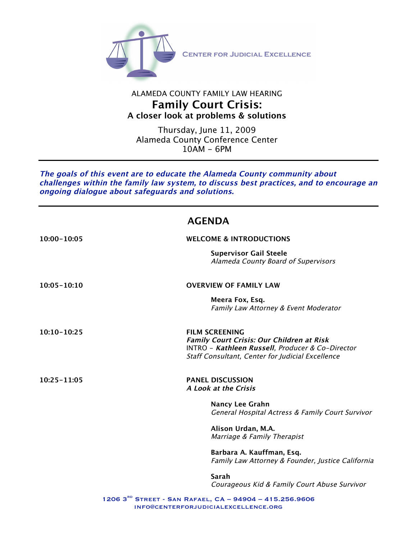

## ALAMEDA COUNTY FAMILY LAW HEARING **Family Court Crisis: A closer look at problems & solutions**

Thursday, June 11, 2009 Alameda County Conference Center 10AM - 6PM

**The goals of this event are to educate the Alameda County community about challenges within the family law system, to discuss best practices, and to encourage an ongoing dialogue about safeguards and solutions.** 

# **AGENDA**

| 10:00-10:05     | <b>WELCOME &amp; INTRODUCTIONS</b>                                                                                                                                                |
|-----------------|-----------------------------------------------------------------------------------------------------------------------------------------------------------------------------------|
|                 | <b>Supervisor Gail Steele</b><br>Alameda County Board of Supervisors                                                                                                              |
| $10:05 - 10:10$ | <b>OVERVIEW OF FAMILY LAW</b>                                                                                                                                                     |
|                 | Meera Fox, Esq.<br>Family Law Attorney & Event Moderator                                                                                                                          |
| 10:10-10:25     | <b>FILM SCREENING</b><br><b>Family Court Crisis: Our Children at Risk</b><br>INTRO - Kathleen Russell, Producer & Co-Director<br>Staff Consultant, Center for Judicial Excellence |
| $10:25 - 11:05$ | <b>PANEL DISCUSSION</b><br>A Look at the Crisis                                                                                                                                   |
|                 | <b>Nancy Lee Grahn</b><br>General Hospital Actress & Family Court Survivor                                                                                                        |
|                 | Alison Urdan, M.A.<br>Marriage & Family Therapist                                                                                                                                 |
|                 | Barbara A. Kauffman, Esq.<br>Family Law Attorney & Founder, Justice California                                                                                                    |
|                 | Sarah<br>Courageous Kid & Family Court Abuse Survivor                                                                                                                             |
|                 | 1206 3 <sup>RD</sup> STREET - SAN RAFAEL, CA - 94904 - 415.256.9606                                                                                                               |

info@centerforjudicialexcellence.org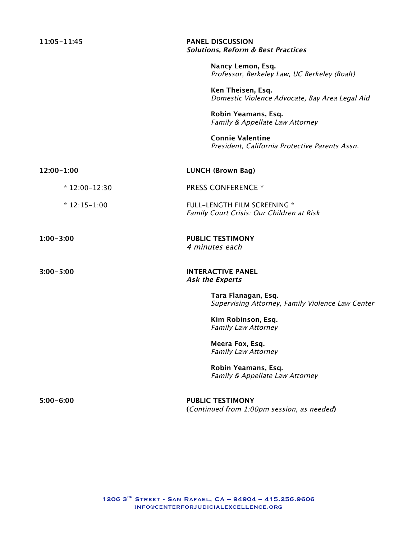**11:05-11:45 PANEL DISCUSSION Solutions, Reform & Best Practices**

> **Nancy Lemon, Esq.** Professor, Berkeley Law, UC Berkeley (Boalt)

**Ken Theisen, Esq.** Domestic Violence Advocate, Bay Area Legal Aid

**Robin Yeamans, Esq.** Family & Appellate Law Attorney

**Connie Valentine** President, California Protective Parents Assn.

| 12:00-1:00     | <b>LUNCH (Brown Bag)</b>                                                         |
|----------------|----------------------------------------------------------------------------------|
| $*12:00-12:30$ | <b>PRESS CONFERENCE *</b>                                                        |
| $*12:15-1:00$  | <b>FULL-LENGTH FILM SCREENING *</b><br>Family Court Crisis: Our Children at Risk |
| $1:00 - 3:00$  | <b>PUBLIC TESTIMONY</b><br>4 minutes each                                        |
| $3:00 - 5:00$  | <b>INTERACTIVE PANEL</b><br><b>Ask the Experts</b>                               |
|                | Tara Flanagan, Esq.<br>Supervising Attorney, Family Violence Law Center          |
|                | Kim Robinson, Esq.<br><b>Family Law Attorney</b>                                 |
|                | Meera Fox, Esq.<br><b>Family Law Attorney</b>                                    |
|                | Robin Yeamans, Esq.<br>Family & Appellate Law Attorney                           |
| $5:00 - 6:00$  | <b>PUBLIC TESTIMONY</b><br>(Continued from 1:00pm session, as needed)            |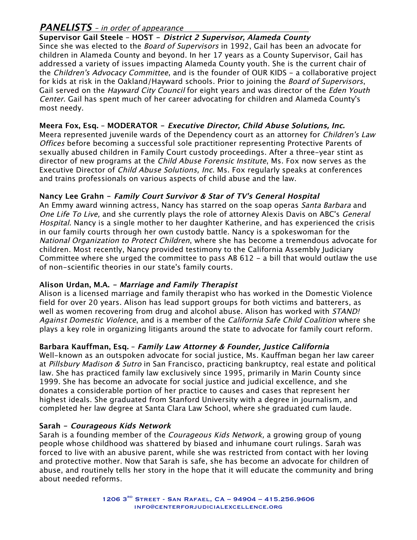## **PANELISTS** – in order of appearance

**Supervisor Gail Steele – HOST - District 2 Supervisor, Alameda County** Since she was elected to the *Board of Supervisors* in 1992, Gail has been an advocate for children in Alameda County and beyond. In her 17 years as a County Supervisor, Gail has addressed a variety of issues impacting Alameda County youth. She is the current chair of the Children's Advocacy Committee, and is the founder of OUR KIDS - a collaborative project for kids at risk in the Oakland/Hayward schools. Prior to joining the *Board of Supervisors*, Gail served on the *Hayward City Council* for eight years and was director of the *Eden Youth* Center. Gail has spent much of her career advocating for children and Alameda County's most needy.

## **Meera Fox, Esq. – MODERATOR - Executive Director, Child Abuse Solutions, Inc.**

Meera represented juvenile wards of the Dependency court as an attorney for Children's Law Offices before becoming a successful sole practitioner representing Protective Parents of sexually abused children in Family Court custody proceedings. After a three-year stint as director of new programs at the *Child Abuse Forensic Institute*, Ms. Fox now serves as the Executive Director of Child Abuse Solutions, Inc. Ms. Fox regularly speaks at conferences and trains professionals on various aspects of child abuse and the law.

## **Nancy Lee Grahn - Family Court Survivor & Star of TV's General Hospital**

An Emmy award winning actress, Nancy has starred on the soap operas Santa Barbara and One Life To Live, and she currently plays the role of attorney Alexis Davis on ABC's General Hospital. Nancy is a single mother to her daughter Katherine, and has experienced the crisis in our family courts through her own custody battle. Nancy is a spokeswoman for the National Organization to Protect Children, where she has become a tremendous advocate for children. Most recently, Nancy provided testimony to the California Assembly Judiciary Committee where she urged the committee to pass AB 612 - a bill that would outlaw the use of non-scientific theories in our state's family courts.

## **Alison Urdan, M.A. - Marriage and Family Therapist**

Alison is a licensed marriage and family therapist who has worked in the Domestic Violence field for over 20 years. Alison has lead support groups for both victims and batterers, as well as women recovering from drug and alcohol abuse. Alison has worked with STAND! Against Domestic Violence, and is a member of the California Safe Child Coalition where she plays a key role in organizing litigants around the state to advocate for family court reform.

## **Barbara Kauffman, Esq. – Family Law Attorney & Founder, Justice California**

Well-known as an outspoken advocate for social justice, Ms. Kauffman began her law career at Pillsbury Madison & Sutro in San Francisco, practicing bankruptcy, real estate and political law. She has practiced family law exclusively since 1995, primarily in Marin County since 1999. She has become an advocate for social justice and judicial excellence, and she donates a considerable portion of her practice to causes and cases that represent her highest ideals. She graduated from Stanford University with a degree in journalism, and completed her law degree at Santa Clara Law School, where she graduated cum laude.

## **Sarah - Courageous Kids Network**

Sarah is a founding member of the *Courageous Kids Network*, a growing group of young people whose childhood was shattered by biased and inhumane court rulings. Sarah was forced to live with an abusive parent, while she was restricted from contact with her loving and protective mother. Now that Sarah is safe, she has become an advocate for children of abuse, and routinely tells her story in the hope that it will educate the community and bring about needed reforms.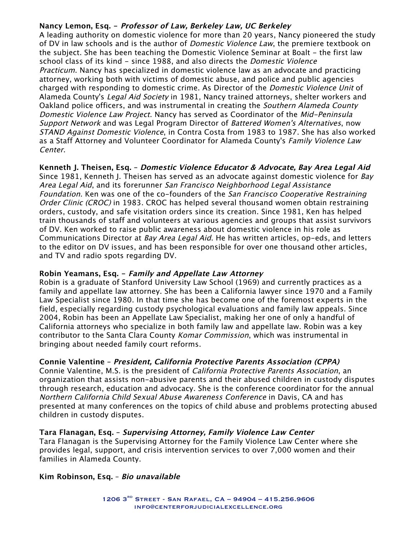## **Nancy Lemon, Esq. - Professor of Law, Berkeley Law, UC Berkeley**

A leading authority on domestic violence for more than 20 years, Nancy pioneered the study of DV in law schools and is the author of *Domestic Violence Law*, the premiere textbook on the subject. She has been teaching the Domestic Violence Seminar at Boalt - the first law school class of its kind - since 1988, and also directs the Domestic Violence Practicum. Nancy has specialized in domestic violence law as an advocate and practicing attorney, working both with victims of domestic abuse, and police and public agencies charged with responding to domestic crime. As Director of the Domestic Violence Unit of Alameda County's Legal Aid Society in 1981, Nancy trained attorneys, shelter workers and Oakland police officers, and was instrumental in creating the Southern Alameda County Domestic Violence Law Project. Nancy has served as Coordinator of the Mid-Peninsula Support Network and was Legal Program Director of Battered Women's Alternatives, now STAND Against Domestic Violence, in Contra Costa from 1983 to 1987. She has also worked as a Staff Attorney and Volunteer Coordinator for Alameda County's Family Violence Law Center.

**Kenneth J. Theisen, Esq. – Domestic Violence Educator & Advocate, Bay Area Legal Aid** Since 1981, Kenneth J. Theisen has served as an advocate against domestic violence for Bay Area Legal Aid, and its forerunner San Francisco Neighborhood Legal Assistance Foundation. Ken was one of the co-founders of the San Francisco Cooperative Restraining Order Clinic (CROC) in 1983. CROC has helped several thousand women obtain restraining orders, custody, and safe visitation orders since its creation. Since 1981, Ken has helped train thousands of staff and volunteers at various agencies and groups that assist survivors of DV. Ken worked to raise public awareness about domestic violence in his role as Communications Director at *Bay Area Legal Aid*. He has written articles, op-eds, and letters to the editor on DV issues, and has been responsible for over one thousand other articles, and TV and radio spots regarding DV.

#### **Robin Yeamans, Esq. - Family and Appellate Law Attorney**

Robin is a graduate of Stanford University Law School (1969) and currently practices as a family and appellate law attorney. She has been a California lawyer since 1970 and a Family Law Specialist since 1980. In that time she has become one of the foremost experts in the field, especially regarding custody psychological evaluations and family law appeals. Since 2004, Robin has been an Appellate Law Specialist, making her one of only a handful of California attorneys who specialize in both family law and appellate law. Robin was a key contributor to the Santa Clara County Komar Commission, which was instrumental in bringing about needed family court reforms.

## **Connie Valentine – President, California Protective Parents Association (CPPA)**

Connie Valentine, M.S. is the president of California Protective Parents Association, an organization that assists non-abusive parents and their abused children in custody disputes through research, education and advocacy. She is the conference coordinator for the annual Northern California Child Sexual Abuse Awareness Conference in Davis, CA and has presented at many conferences on the topics of child abuse and problems protecting abused children in custody disputes.

#### **Tara Flanagan, Esq. – Supervising Attorney, Family Violence Law Center**

Tara Flanagan is the Supervising Attorney for the Family Violence Law Center where she provides legal, support, and crisis intervention services to over 7,000 women and their families in Alameda County.

## **Kim Robinson, Esq.** – **Bio unavailable**